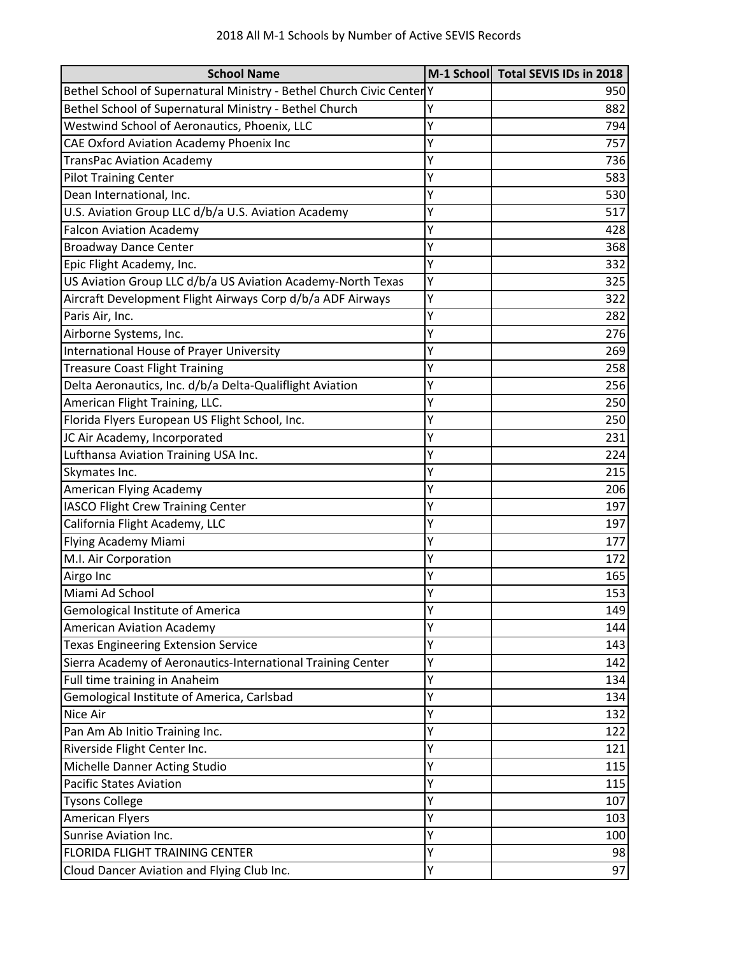| <b>School Name</b>                                                  |   | M-1 School Total SEVIS IDs in 2018 |
|---------------------------------------------------------------------|---|------------------------------------|
| Bethel School of Supernatural Ministry - Bethel Church Civic Center |   | 950                                |
| Bethel School of Supernatural Ministry - Bethel Church              | γ | 882                                |
| Westwind School of Aeronautics, Phoenix, LLC                        | Υ | 794                                |
| CAE Oxford Aviation Academy Phoenix Inc                             | Υ | 757                                |
| <b>TransPac Aviation Academy</b>                                    | Υ | 736                                |
| <b>Pilot Training Center</b>                                        | Υ | 583                                |
| Dean International, Inc.                                            | Υ | 530                                |
| U.S. Aviation Group LLC d/b/a U.S. Aviation Academy                 | Υ | 517                                |
| <b>Falcon Aviation Academy</b>                                      | Y | 428                                |
| <b>Broadway Dance Center</b>                                        | Y | 368                                |
| Epic Flight Academy, Inc.                                           | Υ | 332                                |
| US Aviation Group LLC d/b/a US Aviation Academy-North Texas         | Υ | 325                                |
| Aircraft Development Flight Airways Corp d/b/a ADF Airways          | Υ | 322                                |
| Paris Air, Inc.                                                     | Υ | 282                                |
| Airborne Systems, Inc.                                              | Υ | 276                                |
| <b>International House of Prayer University</b>                     | Υ | 269                                |
| <b>Treasure Coast Flight Training</b>                               | Υ | 258                                |
| Delta Aeronautics, Inc. d/b/a Delta-Qualiflight Aviation            | Υ | 256                                |
| American Flight Training, LLC.                                      | Υ | 250                                |
| Florida Flyers European US Flight School, Inc.                      | Υ | 250                                |
| JC Air Academy, Incorporated                                        | Υ | 231                                |
| Lufthansa Aviation Training USA Inc.                                | Y | 224                                |
| Skymates Inc.                                                       | Υ | 215                                |
| American Flying Academy                                             | Υ | 206                                |
| <b>IASCO Flight Crew Training Center</b>                            | Υ | 197                                |
| California Flight Academy, LLC                                      | Υ | 197                                |
| Flying Academy Miami                                                | Υ | 177                                |
| M.I. Air Corporation                                                | Υ | 172                                |
| Airgo Inc                                                           | Υ | 165                                |
| Miami Ad School                                                     | Υ | 153                                |
| Gemological Institute of America                                    | Υ | 149                                |
| <b>American Aviation Academy</b>                                    | Υ | 144                                |
| <b>Texas Engineering Extension Service</b>                          | Υ | 143                                |
| Sierra Academy of Aeronautics-International Training Center         | Υ | 142                                |
| Full time training in Anaheim                                       | Υ | 134                                |
| Gemological Institute of America, Carlsbad                          | Υ | 134                                |
| Nice Air                                                            | Υ | 132                                |
| Pan Am Ab Initio Training Inc.                                      | Υ | 122                                |
| Riverside Flight Center Inc.                                        | Υ | 121                                |
| Michelle Danner Acting Studio                                       | Υ | 115                                |
| <b>Pacific States Aviation</b>                                      | Υ | 115                                |
| <b>Tysons College</b>                                               | Υ | 107                                |
| <b>American Flyers</b>                                              | Y | 103                                |
| Sunrise Aviation Inc.                                               | Υ | 100                                |
| FLORIDA FLIGHT TRAINING CENTER                                      | Υ | 98                                 |
| Cloud Dancer Aviation and Flying Club Inc.                          | Υ | 97                                 |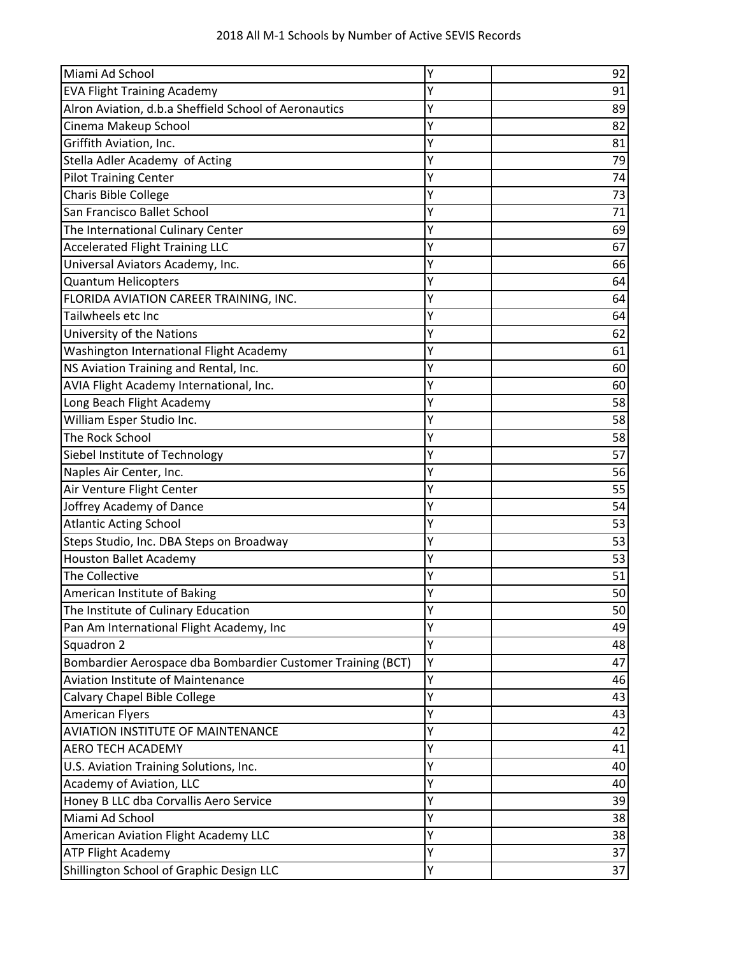| Miami Ad School                                             | Υ | 92 |
|-------------------------------------------------------------|---|----|
| <b>EVA Flight Training Academy</b>                          | Y | 91 |
| Alron Aviation, d.b.a Sheffield School of Aeronautics       | Y | 89 |
| Cinema Makeup School                                        | Y | 82 |
| Griffith Aviation, Inc.                                     | Y | 81 |
| Stella Adler Academy of Acting                              | Y | 79 |
| <b>Pilot Training Center</b>                                | Y | 74 |
| Charis Bible College                                        | Υ | 73 |
| San Francisco Ballet School                                 | Y | 71 |
| The International Culinary Center                           | Y | 69 |
| <b>Accelerated Flight Training LLC</b>                      | Y | 67 |
| Universal Aviators Academy, Inc.                            | Υ | 66 |
| <b>Quantum Helicopters</b>                                  | Υ | 64 |
| FLORIDA AVIATION CAREER TRAINING, INC.                      | Y | 64 |
| Tailwheels etc Inc                                          | Y | 64 |
| University of the Nations                                   | Y | 62 |
| Washington International Flight Academy                     | Y | 61 |
| NS Aviation Training and Rental, Inc.                       | Υ | 60 |
| AVIA Flight Academy International, Inc.                     | Υ | 60 |
| Long Beach Flight Academy                                   | Y | 58 |
| William Esper Studio Inc.                                   | Y | 58 |
| The Rock School                                             | Y | 58 |
| Siebel Institute of Technology                              | Υ | 57 |
| Naples Air Center, Inc.                                     | Y | 56 |
| Air Venture Flight Center                                   | Y | 55 |
| Joffrey Academy of Dance                                    | Υ | 54 |
| <b>Atlantic Acting School</b>                               | Y | 53 |
| Steps Studio, Inc. DBA Steps on Broadway                    | Υ | 53 |
| <b>Houston Ballet Academy</b>                               | Y | 53 |
| The Collective                                              | Y | 51 |
| American Institute of Baking                                | Y | 50 |
| The Institute of Culinary Education                         | Υ | 50 |
| Pan Am International Flight Academy, Inc                    | Ý | 49 |
| Squadron 2                                                  | Υ | 48 |
| Bombardier Aerospace dba Bombardier Customer Training (BCT) | Υ | 47 |
| <b>Aviation Institute of Maintenance</b>                    | Υ | 46 |
| Calvary Chapel Bible College                                | Υ | 43 |
| <b>American Flyers</b>                                      | Υ | 43 |
| AVIATION INSTITUTE OF MAINTENANCE                           | Y | 42 |
| <b>AERO TECH ACADEMY</b>                                    | Υ | 41 |
| U.S. Aviation Training Solutions, Inc.                      | Υ | 40 |
| Academy of Aviation, LLC                                    | Υ | 40 |
| Honey B LLC dba Corvallis Aero Service                      | Υ | 39 |
| Miami Ad School                                             | Υ | 38 |
| American Aviation Flight Academy LLC                        | Υ | 38 |
| ATP Flight Academy                                          | Υ | 37 |
| Shillington School of Graphic Design LLC                    | Υ | 37 |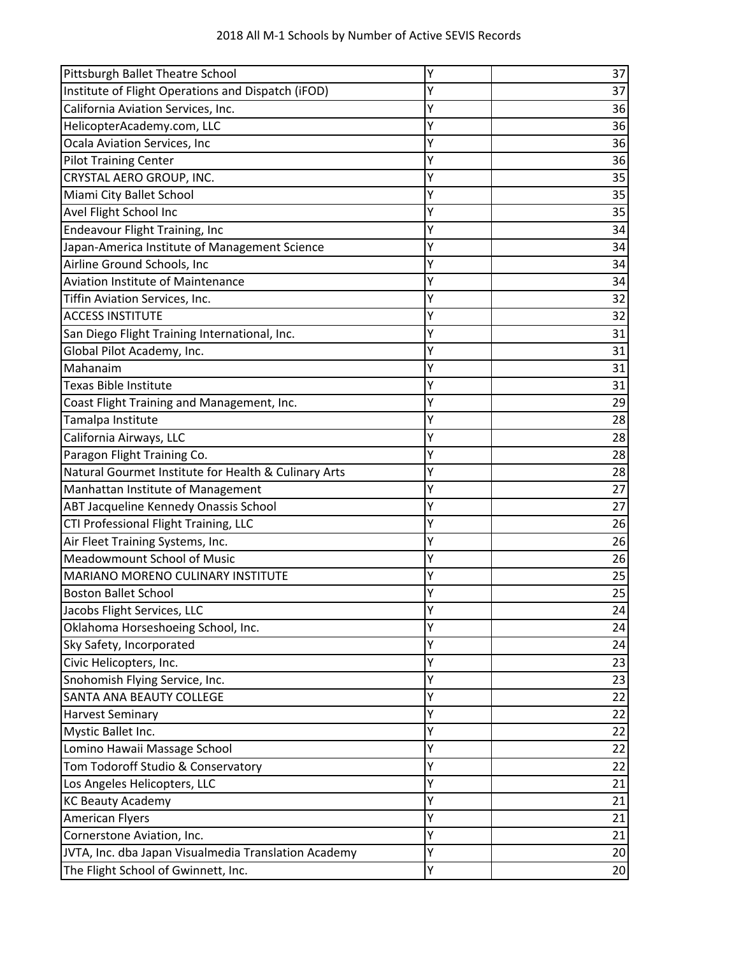|  |  | 2018 All M-1 Schools by Number of Active SEVIS Records |  |
|--|--|--------------------------------------------------------|--|
|--|--|--------------------------------------------------------|--|

| Pittsburgh Ballet Theatre School                     | Υ | 37 |
|------------------------------------------------------|---|----|
| Institute of Flight Operations and Dispatch (iFOD)   | Υ | 37 |
| California Aviation Services, Inc.                   | Υ | 36 |
| HelicopterAcademy.com, LLC                           | Υ | 36 |
| Ocala Aviation Services, Inc                         | Υ | 36 |
| <b>Pilot Training Center</b>                         | Υ | 36 |
| CRYSTAL AERO GROUP, INC.                             | Υ | 35 |
| Miami City Ballet School                             | Υ | 35 |
| Avel Flight School Inc                               | Υ | 35 |
| <b>Endeavour Flight Training, Inc</b>                | Y | 34 |
| Japan-America Institute of Management Science        | Υ | 34 |
| Airline Ground Schools, Inc                          | Υ | 34 |
| <b>Aviation Institute of Maintenance</b>             | Υ | 34 |
| Tiffin Aviation Services, Inc.                       | Υ | 32 |
| <b>ACCESS INSTITUTE</b>                              | Υ | 32 |
| San Diego Flight Training International, Inc.        | Y | 31 |
| Global Pilot Academy, Inc.                           | Y | 31 |
| Mahanaim                                             | Y | 31 |
| <b>Texas Bible Institute</b>                         | Υ | 31 |
| Coast Flight Training and Management, Inc.           | Υ | 29 |
| Tamalpa Institute                                    | Y | 28 |
| California Airways, LLC                              | Υ | 28 |
| Paragon Flight Training Co.                          | Y | 28 |
| Natural Gourmet Institute for Health & Culinary Arts | Υ | 28 |
| Manhattan Institute of Management                    | Υ | 27 |
| ABT Jacqueline Kennedy Onassis School                | Υ | 27 |
| CTI Professional Flight Training, LLC                | Υ | 26 |
| Air Fleet Training Systems, Inc.                     | Y | 26 |
| Meadowmount School of Music                          | Υ | 26 |
| <b>MARIANO MORENO CULINARY INSTITUTE</b>             | Υ | 25 |
| <b>Boston Ballet School</b>                          | Υ | 25 |
| Jacobs Flight Services, LLC                          | Υ | 24 |
| Oklahoma Horseshoeing School, Inc.                   | Υ | 24 |
| Sky Safety, Incorporated                             | Υ | 24 |
| Civic Helicopters, Inc.                              | Υ | 23 |
| Snohomish Flying Service, Inc.                       | Υ | 23 |
| SANTA ANA BEAUTY COLLEGE                             | Υ | 22 |
| <b>Harvest Seminary</b>                              | Υ | 22 |
| Mystic Ballet Inc.                                   | Υ | 22 |
| Lomino Hawaii Massage School                         | Υ | 22 |
| Tom Todoroff Studio & Conservatory                   | Υ | 22 |
| Los Angeles Helicopters, LLC                         | Υ | 21 |
| <b>KC Beauty Academy</b>                             | Υ | 21 |
| <b>American Flyers</b>                               | Υ | 21 |
| Cornerstone Aviation, Inc.                           | Υ | 21 |
| JVTA, Inc. dba Japan Visualmedia Translation Academy | Υ | 20 |
| The Flight School of Gwinnett, Inc.                  | Y | 20 |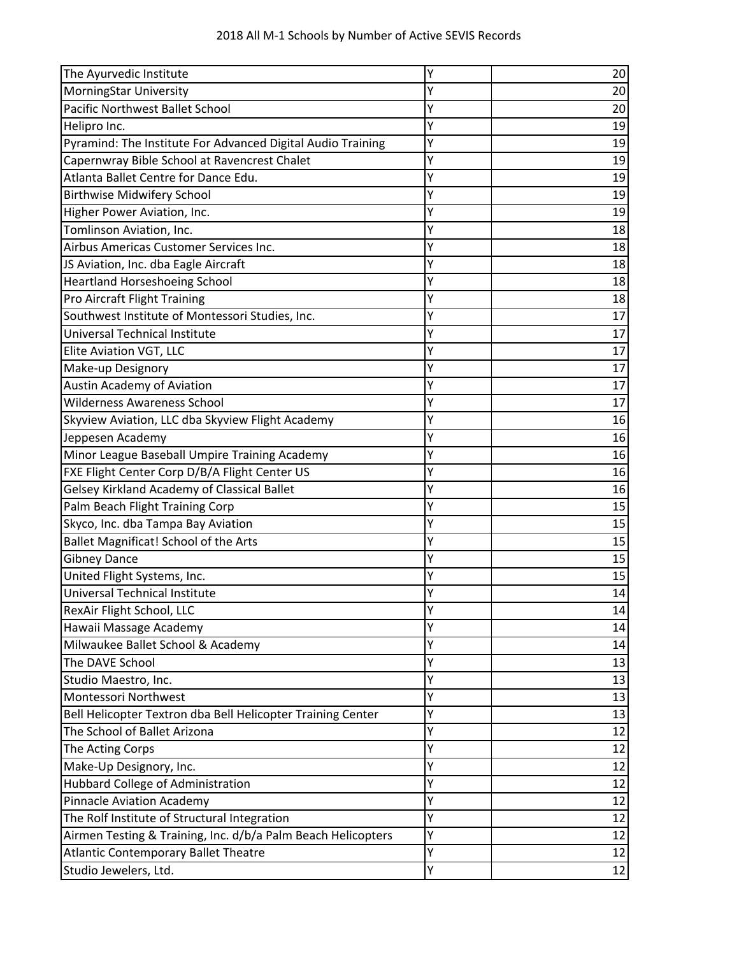| The Ayurvedic Institute                                      | Υ | 20 |
|--------------------------------------------------------------|---|----|
| MorningStar University                                       | Υ | 20 |
| Pacific Northwest Ballet School                              | Y | 20 |
| Helipro Inc.                                                 | Υ | 19 |
| Pyramind: The Institute For Advanced Digital Audio Training  | Υ | 19 |
| Capernwray Bible School at Ravencrest Chalet                 | Υ | 19 |
| Atlanta Ballet Centre for Dance Edu.                         | Υ | 19 |
| <b>Birthwise Midwifery School</b>                            | Y | 19 |
| Higher Power Aviation, Inc.                                  | Υ | 19 |
| Tomlinson Aviation, Inc.                                     | Υ | 18 |
| Airbus Americas Customer Services Inc.                       | Υ | 18 |
| JS Aviation, Inc. dba Eagle Aircraft                         | Υ | 18 |
| Heartland Horseshoeing School                                | Y | 18 |
| Pro Aircraft Flight Training                                 | Υ | 18 |
| Southwest Institute of Montessori Studies, Inc.              | Υ | 17 |
| Universal Technical Institute                                | Y | 17 |
| Elite Aviation VGT, LLC                                      | Y | 17 |
| Make-up Designory                                            | Y | 17 |
| <b>Austin Academy of Aviation</b>                            | Υ | 17 |
| <b>Wilderness Awareness School</b>                           | Υ | 17 |
| Skyview Aviation, LLC dba Skyview Flight Academy             | Y | 16 |
| Jeppesen Academy                                             | Υ | 16 |
| Minor League Baseball Umpire Training Academy                | Υ | 16 |
| FXE Flight Center Corp D/B/A Flight Center US                | Υ | 16 |
| Gelsey Kirkland Academy of Classical Ballet                  | Υ | 16 |
| Palm Beach Flight Training Corp                              | Ý | 15 |
| Skyco, Inc. dba Tampa Bay Aviation                           | Y | 15 |
| Ballet Magnificat! School of the Arts                        | Υ | 15 |
| <b>Gibney Dance</b>                                          | Υ | 15 |
| United Flight Systems, Inc.                                  | Υ | 15 |
| Universal Technical Institute                                | Y | 14 |
| RexAir Flight School, LLC                                    | Y | 14 |
| Hawaii Massage Academy                                       | Υ | 14 |
| Milwaukee Ballet School & Academy                            | Υ | 14 |
| The DAVE School                                              | Υ | 13 |
| Studio Maestro, Inc.                                         | Y | 13 |
| Montessori Northwest                                         | Υ | 13 |
| Bell Helicopter Textron dba Bell Helicopter Training Center  | Υ | 13 |
| The School of Ballet Arizona                                 | Y | 12 |
| The Acting Corps                                             | Υ | 12 |
| Make-Up Designory, Inc.                                      | Υ | 12 |
| Hubbard College of Administration                            | Υ | 12 |
| Pinnacle Aviation Academy                                    | Υ | 12 |
| The Rolf Institute of Structural Integration                 | Y | 12 |
| Airmen Testing & Training, Inc. d/b/a Palm Beach Helicopters | Υ | 12 |
| <b>Atlantic Contemporary Ballet Theatre</b>                  | Υ | 12 |
| Studio Jewelers, Ltd.                                        | Υ | 12 |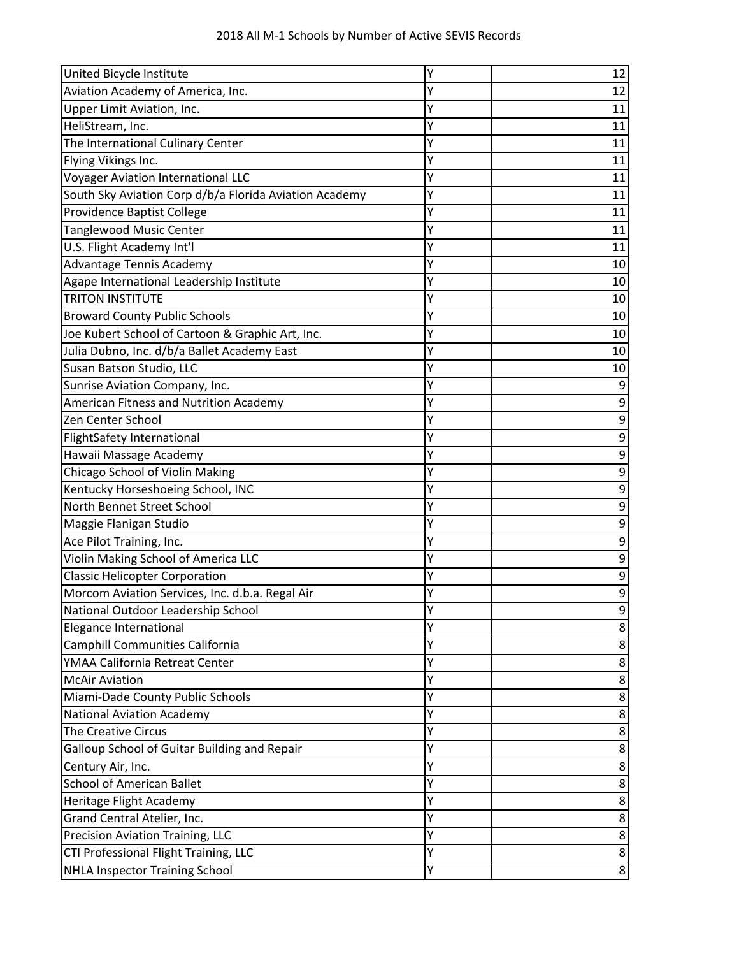| United Bicycle Institute                               | Υ | 12 |
|--------------------------------------------------------|---|----|
| Aviation Academy of America, Inc.                      | Y | 12 |
| Upper Limit Aviation, Inc.                             | Y | 11 |
| HeliStream, Inc.                                       | Y | 11 |
| The International Culinary Center                      | Y | 11 |
| Flying Vikings Inc.                                    | Υ | 11 |
| <b>Voyager Aviation International LLC</b>              | Y | 11 |
| South Sky Aviation Corp d/b/a Florida Aviation Academy | Y | 11 |
| <b>Providence Baptist College</b>                      | Υ | 11 |
| <b>Tanglewood Music Center</b>                         | Y | 11 |
| U.S. Flight Academy Int'l                              | Υ | 11 |
| Advantage Tennis Academy                               | Y | 10 |
| Agape International Leadership Institute               | Y | 10 |
| <b>TRITON INSTITUTE</b>                                | Υ | 10 |
| <b>Broward County Public Schools</b>                   | Υ | 10 |
| Joe Kubert School of Cartoon & Graphic Art, Inc.       | Υ | 10 |
| Julia Dubno, Inc. d/b/a Ballet Academy East            | Y | 10 |
| Susan Batson Studio, LLC                               | Y | 10 |
| Sunrise Aviation Company, Inc.                         | Υ | 9  |
| American Fitness and Nutrition Academy                 | Υ | 9  |
| Zen Center School                                      | Υ | 9  |
| FlightSafety International                             | Y | 9  |
| Hawaii Massage Academy                                 | Y | 9  |
| Chicago School of Violin Making                        | Y | 9  |
| Kentucky Horseshoeing School, INC                      | Υ | 9  |
| North Bennet Street School                             | Υ | 9  |
| Maggie Flanigan Studio                                 | Y | 9  |
| Ace Pilot Training, Inc.                               | Υ | 9  |
| Violin Making School of America LLC                    | Y | 9  |
| <b>Classic Helicopter Corporation</b>                  | Y | 9  |
| Morcom Aviation Services, Inc. d.b.a. Regal Air        | Y | 9  |
| National Outdoor Leadership School                     | Y | 9  |
| Elegance International                                 | Ý | 8  |
| Camphill Communities California                        | Υ | 8  |
| YMAA California Retreat Center                         | Y | 8  |
| <b>McAir Aviation</b>                                  | Y | 8  |
| Miami-Dade County Public Schools                       | Υ | 8  |
| <b>National Aviation Academy</b>                       | Υ | 8  |
| The Creative Circus                                    | Υ | 8  |
| Galloup School of Guitar Building and Repair           | Υ | 8  |
| Century Air, Inc.                                      | Y | 8  |
| <b>School of American Ballet</b>                       | Υ | 8  |
| Heritage Flight Academy                                | Υ | 8  |
| Grand Central Atelier, Inc.                            | Y | 8  |
| Precision Aviation Training, LLC                       | Υ | 8  |
| CTI Professional Flight Training, LLC                  | Υ | 8  |
| NHLA Inspector Training School                         | Υ | 8  |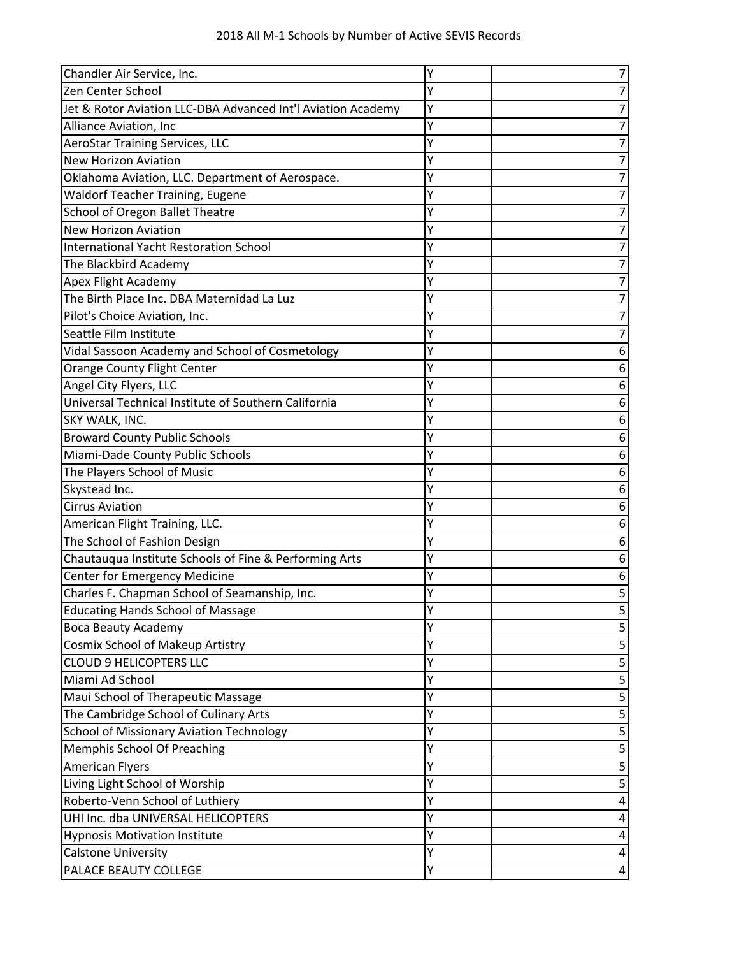| Chandler Air Service, Inc.                                   | Υ | 7 |
|--------------------------------------------------------------|---|---|
| Zen Center School                                            | Υ | 7 |
| Jet & Rotor Aviation LLC-DBA Advanced Int'l Aviation Academy | Υ | 7 |
| Alliance Aviation, Inc                                       | Y | 7 |
| <b>AeroStar Training Services, LLC</b>                       | Υ | 7 |
| <b>New Horizon Aviation</b>                                  | Y | 7 |
| Oklahoma Aviation, LLC. Department of Aerospace.             | Υ | 7 |
| <b>Waldorf Teacher Training, Eugene</b>                      | Y | 7 |
| School of Oregon Ballet Theatre                              | Y | 7 |
| <b>New Horizon Aviation</b>                                  | Υ | 7 |
| <b>International Yacht Restoration School</b>                | Υ | 7 |
| The Blackbird Academy                                        | Y | 7 |
| Apex Flight Academy                                          | Υ | 7 |
| The Birth Place Inc. DBA Maternidad La Luz                   | Y | 7 |
| Pilot's Choice Aviation, Inc.                                | Υ | 7 |
| Seattle Film Institute                                       | Υ | 7 |
| Vidal Sassoon Academy and School of Cosmetology              | Y | 6 |
| Orange County Flight Center                                  | Y | 6 |
| Angel City Flyers, LLC                                       | Y | 6 |
| Universal Technical Institute of Southern California         | Υ | 6 |
| SKY WALK, INC.                                               | Υ | 6 |
| <b>Broward County Public Schools</b>                         | Y | 6 |
| Miami-Dade County Public Schools                             | Y | 6 |
| The Players School of Music                                  | Y | 6 |
| Skystead Inc.                                                | Y | 6 |
| <b>Cirrus Aviation</b>                                       | Y | 6 |
| American Flight Training, LLC.                               | Y | 6 |
| The School of Fashion Design                                 | Y | 6 |
| Chautauqua Institute Schools of Fine & Performing Arts       | Υ | 6 |
| <b>Center for Emergency Medicine</b>                         | Υ | 6 |
| Charles F. Chapman School of Seamanship, Inc.                | Υ | 5 |
| <b>Educating Hands School of Massage</b>                     | Y | 5 |
| <b>Boca Beauty Academy</b>                                   | Υ | 5 |
| Cosmix School of Makeup Artistry                             | Υ | 5 |
| <b>CLOUD 9 HELICOPTERS LLC</b>                               | Υ | 5 |
| Miami Ad School                                              | Υ | 5 |
| Maui School of Therapeutic Massage                           | Υ | 5 |
| The Cambridge School of Culinary Arts                        | Υ | 5 |
| <b>School of Missionary Aviation Technology</b>              | Υ | 5 |
| Memphis School Of Preaching                                  | Υ | 5 |
| <b>American Flyers</b>                                       | Υ | 5 |
| Living Light School of Worship                               | Υ | 5 |
| Roberto-Venn School of Luthiery                              | Υ | 4 |
| UHI Inc. dba UNIVERSAL HELICOPTERS                           | Υ | 4 |
| <b>Hypnosis Motivation Institute</b>                         | Y | 4 |
| <b>Calstone University</b>                                   | Υ | 4 |
| PALACE BEAUTY COLLEGE                                        | Υ | 4 |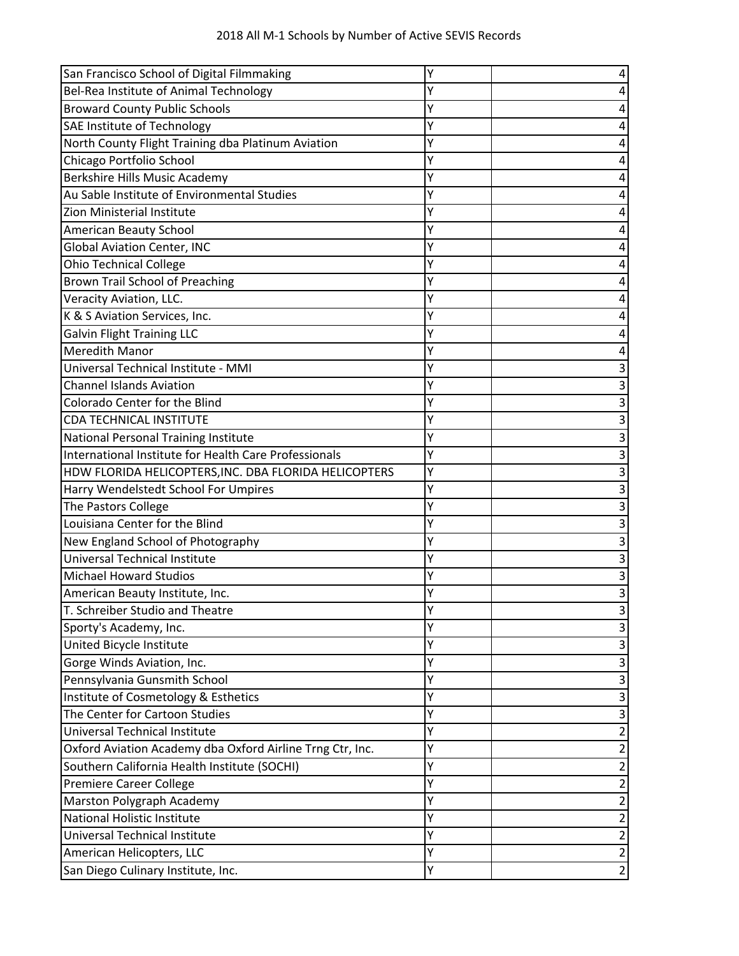| San Francisco School of Digital Filmmaking                | Υ | 4              |
|-----------------------------------------------------------|---|----------------|
| Bel-Rea Institute of Animal Technology                    | Y | 4              |
| <b>Broward County Public Schools</b>                      | Υ | 4              |
| <b>SAE Institute of Technology</b>                        | Υ | 4              |
| North County Flight Training dba Platinum Aviation        | Υ | 4              |
| Chicago Portfolio School                                  | Υ | 4              |
| Berkshire Hills Music Academy                             | Υ | 4              |
| Au Sable Institute of Environmental Studies               | Υ | 4              |
| Zion Ministerial Institute                                | Υ | 4              |
| <b>American Beauty School</b>                             | Υ | 4              |
| <b>Global Aviation Center, INC</b>                        | Υ | 4              |
| <b>Ohio Technical College</b>                             | Υ | 4              |
| Brown Trail School of Preaching                           | Υ | 4              |
| Veracity Aviation, LLC.                                   | Υ | 4              |
| K & S Aviation Services, Inc.                             | Υ | 4              |
| <b>Galvin Flight Training LLC</b>                         | Υ | 4              |
| <b>Meredith Manor</b>                                     | Υ | 4              |
| Universal Technical Institute - MMI                       | Υ | 3              |
| <b>Channel Islands Aviation</b>                           | Υ | 3              |
| Colorado Center for the Blind                             | Y | 3              |
| <b>CDA TECHNICAL INSTITUTE</b>                            | Υ | 3              |
| National Personal Training Institute                      | Υ | 3              |
| International Institute for Health Care Professionals     | Υ | 3              |
| HDW FLORIDA HELICOPTERS, INC. DBA FLORIDA HELICOPTERS     | Υ | 3              |
| Harry Wendelstedt School For Umpires                      | Y | 3              |
| The Pastors College                                       | Υ | 3              |
| Louisiana Center for the Blind                            | Υ | 3              |
| New England School of Photography                         | Υ | 3              |
| Universal Technical Institute                             | Υ | 3              |
| <b>Michael Howard Studios</b>                             | Υ | 3              |
| American Beauty Institute, Inc.                           | Υ | 3              |
| T. Schreiber Studio and Theatre                           | Y | 3              |
| Sporty's Academy, Inc.                                    | Υ | 3              |
| United Bicycle Institute                                  | Υ | 3              |
| Gorge Winds Aviation, Inc.                                | Υ | 3              |
| Pennsylvania Gunsmith School                              | Υ | 3              |
| Institute of Cosmetology & Esthetics                      | Υ | 3              |
| The Center for Cartoon Studies                            | Υ | 3              |
| Universal Technical Institute                             | Υ | 2              |
| Oxford Aviation Academy dba Oxford Airline Trng Ctr, Inc. | Υ | 2              |
| Southern California Health Institute (SOCHI)              | Υ | $\overline{2}$ |
| Premiere Career College                                   | Υ | $\overline{2}$ |
| Marston Polygraph Academy                                 | Y | 2              |
| <b>National Holistic Institute</b>                        | Υ | $\overline{2}$ |
| Universal Technical Institute                             | Υ | 2              |
| American Helicopters, LLC                                 | Y | $\overline{2}$ |
| San Diego Culinary Institute, Inc.                        | Υ | $\overline{2}$ |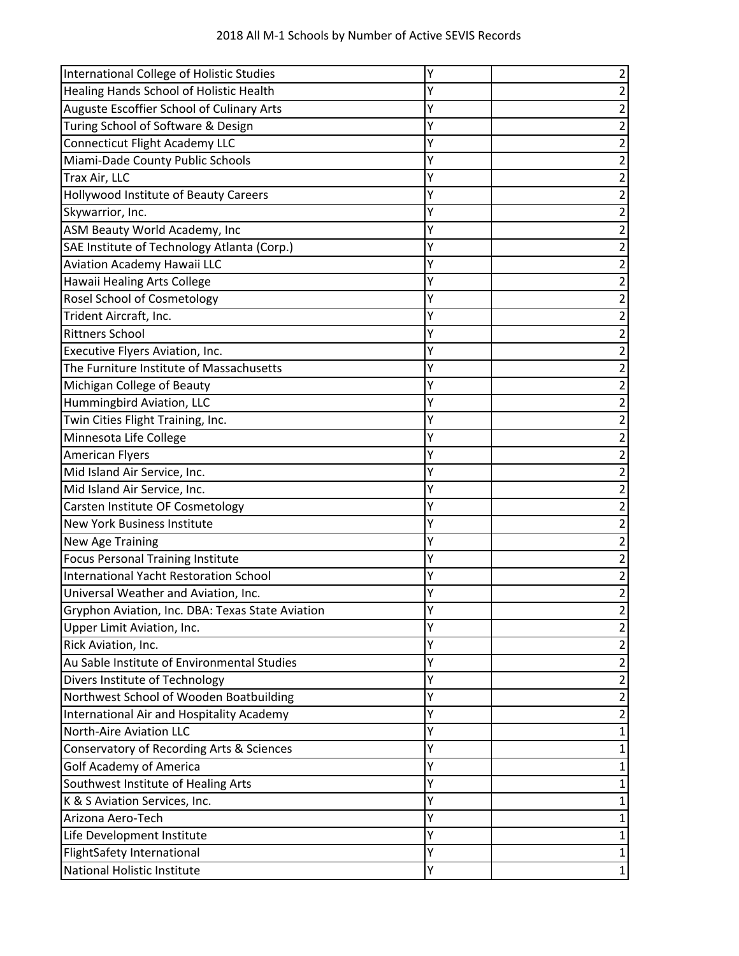| International College of Holistic Studies        | Υ | $\overline{\mathbf{c}}$ |
|--------------------------------------------------|---|-------------------------|
| Healing Hands School of Holistic Health          | Y | $\overline{\mathbf{c}}$ |
| Auguste Escoffier School of Culinary Arts        | Υ | $\overline{2}$          |
| Turing School of Software & Design               | Υ | 2                       |
| <b>Connecticut Flight Academy LLC</b>            | Υ | $\overline{\mathbf{c}}$ |
| Miami-Dade County Public Schools                 | Υ | $\overline{\mathbf{c}}$ |
| Trax Air, LLC                                    | Υ | $\overline{\mathbf{c}}$ |
| Hollywood Institute of Beauty Careers            | Υ | $\overline{2}$          |
| Skywarrior, Inc.                                 | Υ | $\overline{2}$          |
| ASM Beauty World Academy, Inc                    | Υ | $\overline{\mathbf{c}}$ |
| SAE Institute of Technology Atlanta (Corp.)      | Y | $\overline{\mathbf{c}}$ |
| Aviation Academy Hawaii LLC                      | Υ | $\overline{\mathbf{c}}$ |
| Hawaii Healing Arts College                      | Υ | $\mathbf 2$             |
| <b>Rosel School of Cosmetology</b>               | Υ | 2                       |
| Trident Aircraft, Inc.                           | Υ | $\overline{\mathbf{c}}$ |
| <b>Rittners School</b>                           | Υ | $\overline{\mathbf{c}}$ |
| Executive Flyers Aviation, Inc.                  | Υ | $\overline{\mathbf{c}}$ |
| The Furniture Institute of Massachusetts         | Υ | $\overline{\mathbf{c}}$ |
| Michigan College of Beauty                       | Υ | $\overline{\mathbf{c}}$ |
| Hummingbird Aviation, LLC                        | Y | $\overline{\mathbf{c}}$ |
| Twin Cities Flight Training, Inc.                | Y | $\overline{\mathbf{c}}$ |
| Minnesota Life College                           | Υ | $\overline{\mathbf{c}}$ |
| <b>American Flyers</b>                           | Υ | $\overline{\mathbf{c}}$ |
| Mid Island Air Service, Inc.                     | Υ | $\overline{c}$          |
| Mid Island Air Service, Inc.                     | Y | $\overline{\mathbf{c}}$ |
| Carsten Institute OF Cosmetology                 | Y | $\overline{\mathbf{c}}$ |
| <b>New York Business Institute</b>               | Υ | $\overline{\mathbf{c}}$ |
| New Age Training                                 | Υ | $\mathbf 2$             |
| Focus Personal Training Institute                | Υ | $\overline{\mathbf{c}}$ |
| International Yacht Restoration School           | Υ | $\overline{\mathbf{c}}$ |
| Universal Weather and Aviation, Inc.             | Υ | $\overline{2}$          |
| Gryphon Aviation, Inc. DBA: Texas State Aviation | Y | $\overline{\mathbf{c}}$ |
| Upper Limit Aviation, Inc.                       | Υ | 2                       |
| Rick Aviation, Inc.                              | Υ | 2                       |
| Au Sable Institute of Environmental Studies      | Υ | $\overline{\mathbf{c}}$ |
| Divers Institute of Technology                   | Υ | 2                       |
| Northwest School of Wooden Boatbuilding          | Υ | $\overline{\mathbf{c}}$ |
| International Air and Hospitality Academy        | Υ | $\overline{2}$          |
| <b>North-Aire Aviation LLC</b>                   | Υ | 1                       |
| Conservatory of Recording Arts & Sciences        | Υ | 1                       |
| <b>Golf Academy of America</b>                   | Υ | 1                       |
| Southwest Institute of Healing Arts              | Υ | 1                       |
| K & S Aviation Services, Inc.                    | Y | 1                       |
| Arizona Aero-Tech                                | Υ | 1                       |
| Life Development Institute                       | Υ | 1                       |
| FlightSafety International                       | Y | $\mathbf{1}$            |
| National Holistic Institute                      | Υ | $\mathbf{1}$            |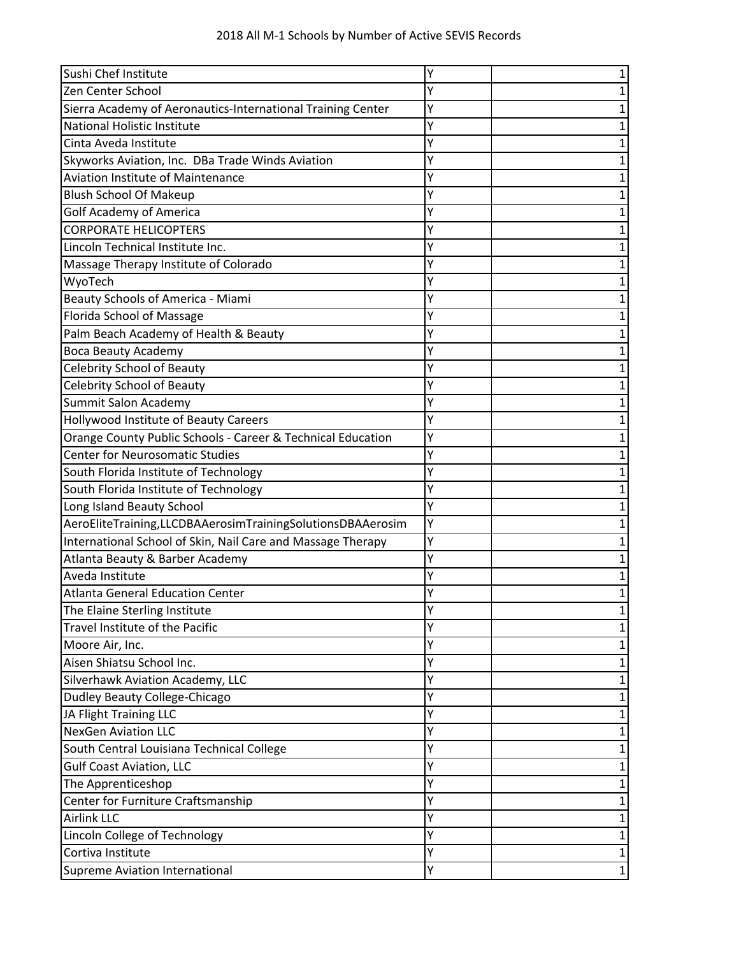| Sushi Chef Institute                                        |   | 1            |
|-------------------------------------------------------------|---|--------------|
| Zen Center School                                           | Υ | 1            |
| Sierra Academy of Aeronautics-International Training Center | Υ | 1            |
| National Holistic Institute                                 | Y | 1            |
| Cinta Aveda Institute                                       | Υ | 1            |
| Skyworks Aviation, Inc. DBa Trade Winds Aviation            | Υ | 1            |
| <b>Aviation Institute of Maintenance</b>                    | Υ | 1            |
| <b>Blush School Of Makeup</b>                               | Υ | 1            |
| <b>Golf Academy of America</b>                              |   | 1            |
| <b>CORPORATE HELICOPTERS</b>                                |   | 1            |
| Lincoln Technical Institute Inc.                            | Y | 1            |
| Massage Therapy Institute of Colorado                       | Y | 1            |
| WyoTech                                                     | Υ | 1            |
| Beauty Schools of America - Miami                           | Y | 1            |
| Florida School of Massage                                   | Υ | $\mathbf 1$  |
| Palm Beach Academy of Health & Beauty                       | Υ | 1            |
| <b>Boca Beauty Academy</b>                                  | Y | 1            |
| <b>Celebrity School of Beauty</b>                           | γ | 1            |
| <b>Celebrity School of Beauty</b>                           |   | 1            |
| Summit Salon Academy                                        | Y | 1            |
| Hollywood Institute of Beauty Careers                       | Υ | 1            |
| Orange County Public Schools - Career & Technical Education | Υ | 1            |
| <b>Center for Neurosomatic Studies</b>                      | Υ | $\mathbf 1$  |
| South Florida Institute of Technology                       | Y | 1            |
| South Florida Institute of Technology                       | Y | 1            |
| Long Island Beauty School                                   | Y | 1            |
| AeroEliteTraining,LLCDBAAerosimTrainingSolutionsDBAAerosim  | Υ | 1            |
| International School of Skin, Nail Care and Massage Therapy | Y | 1            |
| Atlanta Beauty & Barber Academy                             | Y | 1            |
| Aveda Institute                                             | Υ | 1            |
| <b>Atlanta General Education Center</b>                     | Y | 1            |
| The Elaine Sterling Institute                               | T | 1            |
| Travel Institute of the Pacific                             | Υ | 1            |
| Moore Air, Inc.                                             | Υ | 1            |
| Aisen Shiatsu School Inc.                                   | Υ | 1            |
| Silverhawk Aviation Academy, LLC                            | Υ | 1            |
| <b>Dudley Beauty College-Chicago</b>                        | Y | 1            |
| JA Flight Training LLC                                      | Υ | $\mathbf 1$  |
| <b>NexGen Aviation LLC</b>                                  | Y | 1            |
| South Central Louisiana Technical College                   | Υ | 1            |
| <b>Gulf Coast Aviation, LLC</b>                             | Υ | $\mathbf 1$  |
| The Apprenticeshop                                          |   | 1            |
| Center for Furniture Craftsmanship                          | Υ | 1            |
| <b>Airlink LLC</b>                                          | Υ | 1            |
| Lincoln College of Technology                               | Υ | 1            |
| Cortiva Institute                                           | Υ | 1            |
| Supreme Aviation International                              | Υ | $\mathbf{1}$ |